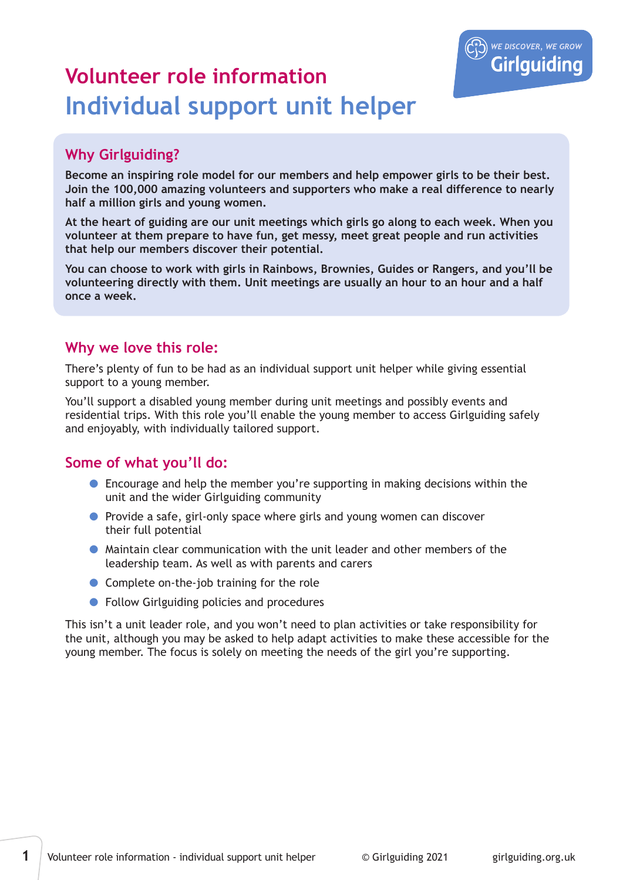

# **Volunteer role information Individual support unit helper**

# **Why Girlguiding?**

**Become an inspiring role model for our members and help empower girls to be their best. Join the 100,000 amazing volunteers and supporters who make a real difference to nearly half a million girls and young women.**

**At the heart of guiding are our unit meetings which girls go along to each week. When you volunteer at them prepare to have fun, get messy, meet great people and run activities that help our members discover their potential.** 

**You can choose to work with girls in Rainbows, Brownies, Guides or Rangers, and you'll be volunteering directly with them. Unit meetings are usually an hour to an hour and a half once a week.**

## **Why we love this role:**

There's plenty of fun to be had as an individual support unit helper while giving essential support to a young member.

You'll support a disabled young member during unit meetings and possibly events and residential trips. With this role you'll enable the young member to access Girlguiding safely and enjoyably, with individually tailored support.

## **Some of what you'll do:**

- Encourage and help the member you're supporting in making decisions within the unit and the wider Girlguiding community
- **•** Provide a safe, girl-only space where girls and young women can discover their full potential
- Maintain clear communication with the unit leader and other members of the leadership team. As well as with parents and carers
- Complete on-the-job training for the role
- Follow Girlguiding policies and procedures

This isn't a unit leader role, and you won't need to plan activities or take responsibility for the unit, although you may be asked to help adapt activities to make these accessible for the young member. The focus is solely on meeting the needs of the girl you're supporting.